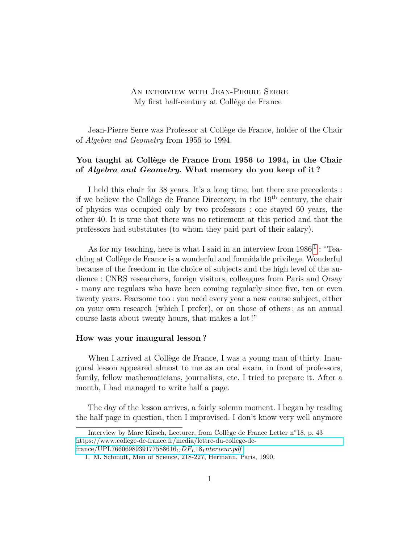## An interview with Jean-Pierre Serre My first half-century at Collège de France

Jean-Pierre Serre was Professor at Collège de France, holder of the Chair of *Algebra and Geometry* from 1956 to 1994.

## **You taught at Collège de France from 1956 to 1994, in the Chair of** *Algebra and Geometry***. What memory do you keep of it ?**

I held this chair for 38 years. It's a long time, but there are precedents : if we believe the Collège de France Directory, in the 19th century, the chair of physics was occupied only by two professors : one stayed 60 years, the other 40. It is true that there was no retirement at this period and that the professors had substitutes (to whom they paid part of their salary).

As for my teaching, here is what I said in an interview from  $1986<sup>1</sup>$  $1986<sup>1</sup>$ : "Teaching at Collège de France is a wonderful and formidable privilege. Wonderful because of the freedom in the choice of subjects and the high level of the audience : CNRS researchers, foreign visitors, colleagues from Paris and Orsay - many are regulars who have been coming regularly since five, ten or even twenty years. Fearsome too : you need every year a new course subject, either on your own research (which I prefer), or on those of others ; as an annual course lasts about twenty hours, that makes a lot !"

#### **How was your inaugural lesson ?**

When I arrived at Collège de France, I was a young man of thirty. Inaugural lesson appeared almost to me as an oral exam, in front of professors, family, fellow mathematicians, journalists, etc. I tried to prepare it. After a month, I had managed to write half a page.

The day of the lesson arrives, a fairly solemn moment. I began by reading the half page in question, then I improvised. I don't know very well anymore

Interview by Marc Kirsch, Lecturer, from Collège de France Letter n◦18, p. 43 [https://www.college-de-france.fr/media/lettre-du-college-de](https://www.college-de-france.fr/media/lettre-du-college-de-france/UPL7660698939177588616_CDF_L18_Interieur.pdf)[france/UPL7660698939177588616](https://www.college-de-france.fr/media/lettre-du-college-de-france/UPL7660698939177588616_CDF_L18_Interieur.pdf)*CDFL*18*Interieur.pdf*

<span id="page-0-0"></span><sup>1.</sup> M. Schmidt, Men of Science, 218-227, Hermann, Paris, 1990.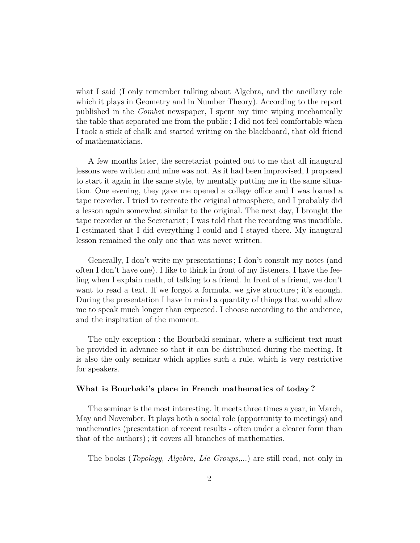what I said (I only remember talking about Algebra, and the ancillary role which it plays in Geometry and in Number Theory). According to the report published in the *Combat* newspaper, I spent my time wiping mechanically the table that separated me from the public ; I did not feel comfortable when I took a stick of chalk and started writing on the blackboard, that old friend of mathematicians.

A few months later, the secretariat pointed out to me that all inaugural lessons were written and mine was not. As it had been improvised, I proposed to start it again in the same style, by mentally putting me in the same situation. One evening, they gave me opened a college office and I was loaned a tape recorder. I tried to recreate the original atmosphere, and I probably did a lesson again somewhat similar to the original. The next day, I brought the tape recorder at the Secretariat ; I was told that the recording was inaudible. I estimated that I did everything I could and I stayed there. My inaugural lesson remained the only one that was never written.

Generally, I don't write my presentations ; I don't consult my notes (and often I don't have one). I like to think in front of my listeners. I have the feeling when I explain math, of talking to a friend. In front of a friend, we don't want to read a text. If we forgot a formula, we give structure; it's enough. During the presentation I have in mind a quantity of things that would allow me to speak much longer than expected. I choose according to the audience, and the inspiration of the moment.

The only exception : the Bourbaki seminar, where a sufficient text must be provided in advance so that it can be distributed during the meeting. It is also the only seminar which applies such a rule, which is very restrictive for speakers.

#### **What is Bourbaki's place in French mathematics of today ?**

The seminar is the most interesting. It meets three times a year, in March, May and November. It plays both a social role (opportunity to meetings) and mathematics (presentation of recent results - often under a clearer form than that of the authors) ; it covers all branches of mathematics.

The books (*Topology, Algebra, Lie Groups,*...) are still read, not only in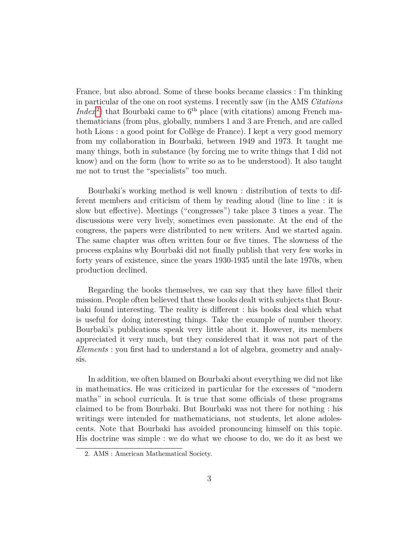France, but also abroad. Some of these books became classics : I'm thinking in particular of the one on root systems. I recently saw (in the AMS *Citations*  $Index<sup>2</sup>$  $Index<sup>2</sup>$  $Index<sup>2</sup>$ ) that Bourbaki came to  $6<sup>th</sup>$  place (with citations) among French mathematicians (from plus, globally, numbers 1 and 3 are French, and are called both Lions : a good point for Collège de France). I kept a very good memory from my collaboration in Bourbaki, between 1949 and 1973. It taught me many things, both in substance (by forcing me to write things that I did not know) and on the form (how to write so as to be understood). It also taught me not to trust the "specialists" too much.

Bourbaki's working method is well known : distribution of texts to different members and criticism of them by reading aloud (line to line : it is slow but effective). Meetings ("congresses") take place 3 times a year. The discussions were very lively, sometimes even passionate. At the end of the congress, the papers were distributed to new writers. And we started again. The same chapter was often written four or five times. The slowness of the process explains why Bourbaki did not finally publish that very few works in forty years of existence, since the years 1930-1935 until the late 1970s, when production declined.

Regarding the books themselves, we can say that they have filled their mission. People often believed that these books dealt with subjects that Bourbaki found interesting. The reality is different : his books deal which what is useful for doing interesting things. Take the example of number theory. Bourbaki's publications speak very little about it. However, its members appreciated it very much, but they considered that it was not part of the *Elements* : you first had to understand a lot of algebra, geometry and analysis.

In addition, we often blamed on Bourbaki about everything we did not like in mathematics. He was criticized in particular for the excesses of "modern maths" in school curricula. It is true that some officials of these programs claimed to be from Bourbaki. But Bourbaki was not there for nothing : his writings were intended for mathematicians, not students, let alone adolescents. Note that Bourbaki has avoided pronouncing himself on this topic. His doctrine was simple : we do what we choose to do, we do it as best we

<span id="page-2-0"></span><sup>2.</sup> AMS : American Mathematical Society.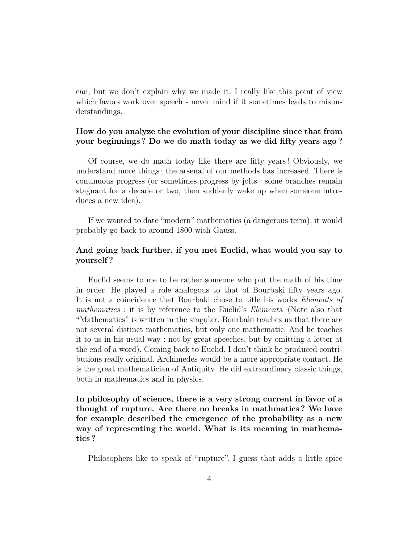can, but we don't explain why we made it. I really like this point of view which favors work over speech - never mind if it sometimes leads to misunderstandings.

## **How do you analyze the evolution of your discipline since that from your beginnings ? Do we do math today as we did fifty years ago ?**

Of course, we do math today like there are fifty years ! Obviously, we understand more things ; the arsenal of our methods has increased. There is continuous progress (or sometimes progress by jolts : some branches remain stagnant for a decade or two, then suddenly wake up when someone introduces a new idea).

If we wanted to date "modern" mathematics (a dangerous term), it would probably go back to around 1800 with Gauss.

## **And going back further, if you met Euclid, what would you say to yourself ?**

Euclid seems to me to be rather someone who put the math of his time in order. He played a role analogous to that of Bourbaki fifty years ago. It is not a coincidence that Bourbaki chose to title his works *Elements of mathematics* : it is by reference to the Euclid's *Elements*. (Note also that "Mathematics" is written in the singular. Bourbaki teaches us that there are not several distinct mathematics, but only one mathematic. And he teaches it to us in his usual way : not by great speeches, but by omitting a letter at the end of a word). Coming back to Euclid, I don't think he produced contributions really original. Archimedes would be a more appropriate contact. He is the great mathematician of Antiquity. He did extraordinary classic things, both in mathematics and in physics.

**In philosophy of science, there is a very strong current in favor of a thought of rupture. Are there no breaks in mathmatics ? We have for example described the emergence of the probability as a new way of representing the world. What is its meaning in mathematics ?**

Philosophers like to speak of "rupture". I guess that adds a little spice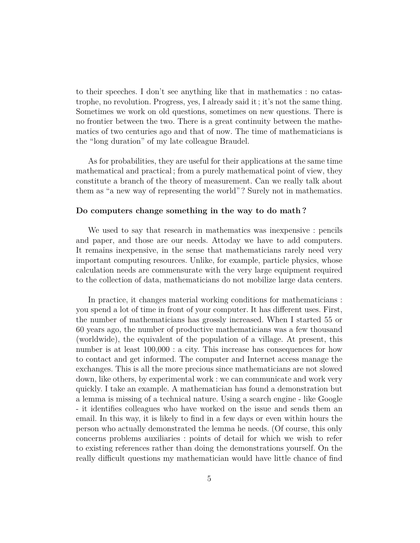to their speeches. I don't see anything like that in mathematics : no catastrophe, no revolution. Progress, yes, I already said it ; it's not the same thing. Sometimes we work on old questions, sometimes on new questions. There is no frontier between the two. There is a great continuity between the mathematics of two centuries ago and that of now. The time of mathematicians is the "long duration" of my late colleague Braudel.

As for probabilities, they are useful for their applications at the same time mathematical and practical ; from a purely mathematical point of view, they constitute a branch of the theory of measurement. Can we really talk about them as "a new way of representing the world" ? Surely not in mathematics.

#### **Do computers change something in the way to do math ?**

We used to say that research in mathematics was inexpensive : pencils and paper, and those are our needs. Attoday we have to add computers. It remains inexpensive, in the sense that mathematicians rarely need very important computing resources. Unlike, for example, particle physics, whose calculation needs are commensurate with the very large equipment required to the collection of data, mathematicians do not mobilize large data centers.

In practice, it changes material working conditions for mathematicians : you spend a lot of time in front of your computer. It has different uses. First, the number of mathematicians has grossly increased. When I started 55 or 60 years ago, the number of productive mathematicians was a few thousand (worldwide), the equivalent of the population of a village. At present, this number is at least  $100,000$ : a city. This increase has consequences for how to contact and get informed. The computer and Internet access manage the exchanges. This is all the more precious since mathematicians are not slowed down, like others, by experimental work : we can communicate and work very quickly. I take an example. A mathematician has found a demonstration but a lemma is missing of a technical nature. Using a search engine - like Google - it identifies colleagues who have worked on the issue and sends them an email. In this way, it is likely to find in a few days or even within hours the person who actually demonstrated the lemma he needs. (Of course, this only concerns problems auxiliaries : points of detail for which we wish to refer to existing references rather than doing the demonstrations yourself. On the really difficult questions my mathematician would have little chance of find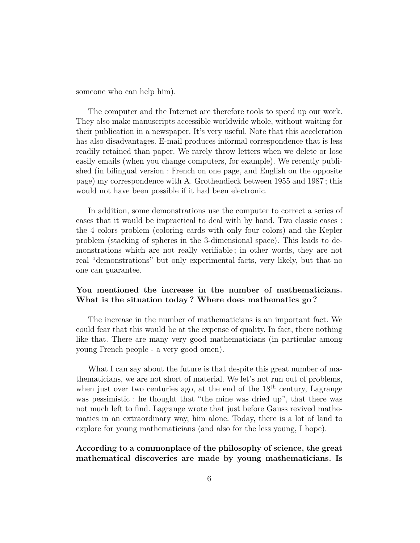someone who can help him).

The computer and the Internet are therefore tools to speed up our work. They also make manuscripts accessible worldwide whole, without waiting for their publication in a newspaper. It's very useful. Note that this acceleration has also disadvantages. E-mail produces informal correspondence that is less readily retained than paper. We rarely throw letters when we delete or lose easily emails (when you change computers, for example). We recently published (in bilingual version : French on one page, and English on the opposite page) my correspondence with A. Grothendieck between 1955 and 1987 ; this would not have been possible if it had been electronic.

In addition, some demonstrations use the computer to correct a series of cases that it would be impractical to deal with by hand. Two classic cases : the 4 colors problem (coloring cards with only four colors) and the Kepler problem (stacking of spheres in the 3-dimensional space). This leads to demonstrations which are not really verifiable ; in other words, they are not real "demonstrations" but only experimental facts, very likely, but that no one can guarantee.

#### **You mentioned the increase in the number of mathematicians. What is the situation today ? Where does mathematics go ?**

The increase in the number of mathematicians is an important fact. We could fear that this would be at the expense of quality. In fact, there nothing like that. There are many very good mathematicians (in particular among young French people - a very good omen).

What I can say about the future is that despite this great number of mathematicians, we are not short of material. We let's not run out of problems, when just over two centuries ago, at the end of the  $18<sup>th</sup>$  century, Lagrange was pessimistic : he thought that "the mine was dried up", that there was not much left to find. Lagrange wrote that just before Gauss revived mathematics in an extraordinary way, him alone. Today, there is a lot of land to explore for young mathematicians (and also for the less young, I hope).

## **According to a commonplace of the philosophy of science, the great mathematical discoveries are made by young mathematicians. Is**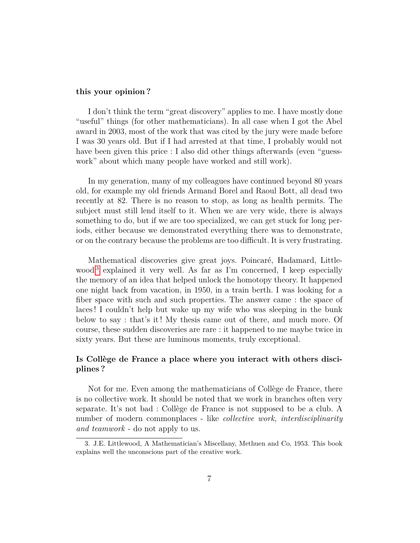#### **this your opinion ?**

I don't think the term "great discovery" applies to me. I have mostly done "useful" things (for other mathematicians). In all case when I got the Abel award in 2003, most of the work that was cited by the jury were made before I was 30 years old. But if I had arrested at that time, I probably would not have been given this price : I also did other things afterwards (even "guesswork" about which many people have worked and still work).

In my generation, many of my colleagues have continued beyond 80 years old, for example my old friends Armand Borel and Raoul Bott, all dead two recently at 82. There is no reason to stop, as long as health permits. The subject must still lend itself to it. When we are very wide, there is always something to do, but if we are too specialized, we can get stuck for long periods, either because we demonstrated everything there was to demonstrate, or on the contrary because the problems are too difficult. It is very frustrating.

Mathematical discoveries give great joys. Poincaré, Hadamard, Little-wood<sup>[3](#page-6-0)</sup> explained it very well. As far as I'm concerned, I keep especially the memory of an idea that helped unlock the homotopy theory. It happened one night back from vacation, in 1950, in a train berth. I was looking for a fiber space with such and such properties. The answer came : the space of laces ! I couldn't help but wake up my wife who was sleeping in the bunk below to say : that's it ! My thesis came out of there, and much more. Of course, these sudden discoveries are rare : it happened to me maybe twice in sixty years. But these are luminous moments, truly exceptional.

### **Is Collège de France a place where you interact with others disciplines ?**

Not for me. Even among the mathematicians of Collège de France, there is no collective work. It should be noted that we work in branches often very separate. It's not bad : Collège de France is not supposed to be a club. A number of modern commonplaces - like *collective work, interdisciplinarity and teamwork* - do not apply to us.

<span id="page-6-0"></span><sup>3.</sup> J.E. Littlewood, A Mathematician's Miscellany, Methuen and Co, 1953. This book explains well the unconscious part of the creative work.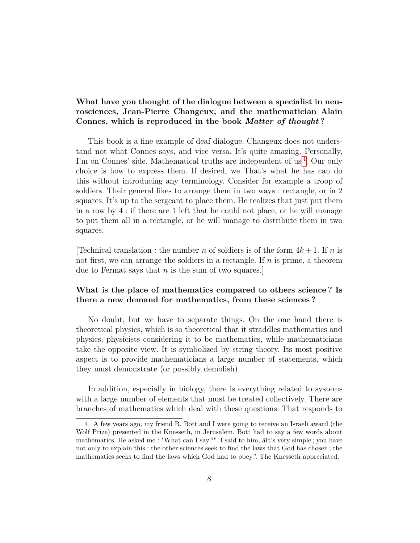# **What have you thought of the dialogue between a specialist in neurosciences, Jean-Pierre Changeux, and the mathematician Alain Connes, which is reproduced in the book** *Matter of thought* **?**

This book is a fine example of deaf dialogue. Changeux does not understand not what Connes says, and vice versa. It's quite amazing. Personally, I'm on Connes' side. Mathematical truths are independent of us<sup>[4](#page-7-0)</sup>. Our only choice is how to express them. If desired, we That's what he has can do this without introducing any terminology. Consider for example a troop of soldiers. Their general likes to arrange them in two ways : rectangle, or in 2 squares. It's up to the sergeant to place them. He realizes that just put them in a row by 4 : if there are 1 left that he could not place, or he will manage to put them all in a rectangle, or he will manage to distribute them in two squares.

[Technical translation : the number *n* of soldiers is of the form  $4k+1$ . If *n* is not first, we can arrange the soldiers in a rectangle. If *n* is prime, a theorem due to Fermat says that *n* is the sum of two squares.]

## **What is the place of mathematics compared to others science ? Is there a new demand for mathematics, from these sciences ?**

No doubt, but we have to separate things. On the one hand there is theoretical physics, which is so theoretical that it straddles mathematics and physics, physicists considering it to be mathematics, while mathematicians take the opposite view. It is symbolized by string theory. Its most positive aspect is to provide mathematicians a large number of statements, which they must demonstrate (or possibly demolish).

In addition, especially in biology, there is everything related to systems with a large number of elements that must be treated collectively. There are branches of mathematics which deal with these questions. That responds to

<span id="page-7-0"></span><sup>4.</sup> A few years ago, my friend R. Bott and I were going to receive an Israeli award (the Wolf Prize) presented in the Knesseth, in Jerusalem. Bott had to say a few words about mathematics. He asked me : "What can I say ?". I said to him, âIt's very simple ; you have not only to explain this : the other sciences seek to find the laws that God has chosen ; the mathematics seeks to find the laws which God had to obey.". The Knesseth appreciated.